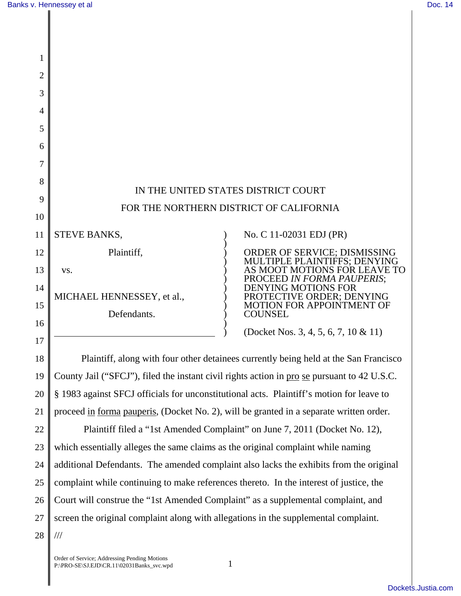| $\overline{2}$ |                            |                                                              |
|----------------|----------------------------|--------------------------------------------------------------|
| 3              |                            |                                                              |
| 4              |                            |                                                              |
| 5              |                            |                                                              |
| 6              |                            |                                                              |
| 7              |                            |                                                              |
| 8              |                            | IN THE UNITED STATES DISTRICT COURT                          |
| 9              |                            |                                                              |
| 10             |                            | FOR THE NORTHERN DISTRICT OF CALIFORNIA                      |
| 11             | STEVE BANKS,               | No. C 11-02031 EDJ (PR)                                      |
| 12             | Plaintiff,                 | ORDER OF SERVICE; DISMISSING                                 |
| 13             | VS.                        | MULTIPLE PLAINTIFFS; DENYING<br>AS MOOT MOTIONS FOR LEAVE TO |
| 14             |                            | PROCEED IN FORMA PAUPERIS;<br><b>DENYING MOTIONS FOR</b>     |
| 15             | MICHAEL HENNESSEY, et al., | PROTECTIVE ORDER; DENYING<br>MOTION FOR APPOINTMENT OF       |
|                | Defendants.                | <b>COUNSEL</b>                                               |
| 16             |                            | (Docket Nos. 3, 4, 5, 6, 7, 10 & 11)                         |
| 17             |                            |                                                              |

18 19 20 21 Plaintiff, along with four other detainees currently being held at the San Francisco County Jail ("SFCJ"), filed the instant civil rights action in pro se pursuant to 42 U.S.C. § 1983 against SFCJ officials for unconstitutional acts. Plaintiff's motion for leave to proceed in forma pauperis, (Docket No. 2), will be granted in a separate written order.

22 23 24 25 26 27 28 Plaintiff filed a "1st Amended Complaint" on June 7, 2011 (Docket No. 12), which essentially alleges the same claims as the original complaint while naming additional Defendants. The amended complaint also lacks the exhibits from the original complaint while continuing to make references thereto. In the interest of justice, the Court will construe the "1st Amended Complaint" as a supplemental complaint, and screen the original complaint along with allegations in the supplemental complaint. ///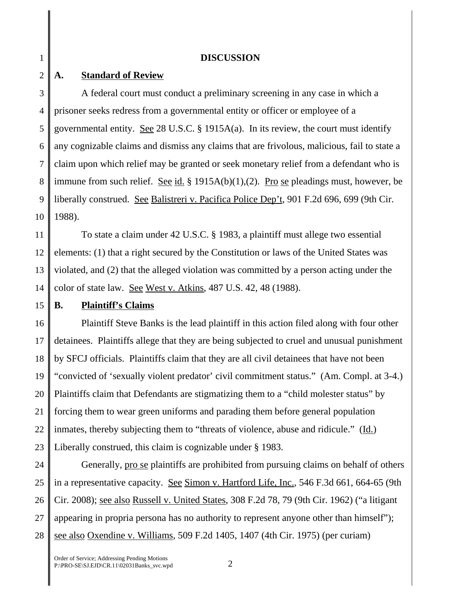#### **DISCUSSION**

#### 2 **A. Standard of Review**

1

3 4 5 6 7 8 9 10 A federal court must conduct a preliminary screening in any case in which a prisoner seeks redress from a governmental entity or officer or employee of a governmental entity. See 28 U.S.C. § 1915A(a). In its review, the court must identify any cognizable claims and dismiss any claims that are frivolous, malicious, fail to state a claim upon which relief may be granted or seek monetary relief from a defendant who is immune from such relief. See id. § 1915A(b)(1),(2). Pro se pleadings must, however, be liberally construed. See Balistreri v. Pacifica Police Dep't, 901 F.2d 696, 699 (9th Cir. 1988).

11 12 13 14 To state a claim under 42 U.S.C. § 1983, a plaintiff must allege two essential elements: (1) that a right secured by the Constitution or laws of the United States was violated, and (2) that the alleged violation was committed by a person acting under the color of state law. See West v. Atkins, 487 U.S. 42, 48 (1988).

#### 15 **B. Plaintiff's Claims**

16 17 18 19 20 21 22 23 Plaintiff Steve Banks is the lead plaintiff in this action filed along with four other detainees. Plaintiffs allege that they are being subjected to cruel and unusual punishment by SFCJ officials. Plaintiffs claim that they are all civil detainees that have not been "convicted of 'sexually violent predator' civil commitment status." (Am. Compl. at 3-4.) Plaintiffs claim that Defendants are stigmatizing them to a "child molester status" by forcing them to wear green uniforms and parading them before general population inmates, thereby subjecting them to "threats of violence, abuse and ridicule." (Id.) Liberally construed, this claim is cognizable under § 1983.

24 25 26 27 28 Generally, pro se plaintiffs are prohibited from pursuing claims on behalf of others in a representative capacity. See Simon v. Hartford Life, Inc., 546 F.3d 661, 664-65 (9th Cir. 2008); see also Russell v. United States, 308 F.2d 78, 79 (9th Cir. 1962) ("a litigant appearing in propria persona has no authority to represent anyone other than himself"); see also Oxendine v. Williams, 509 F.2d 1405, 1407 (4th Cir. 1975) (per curiam)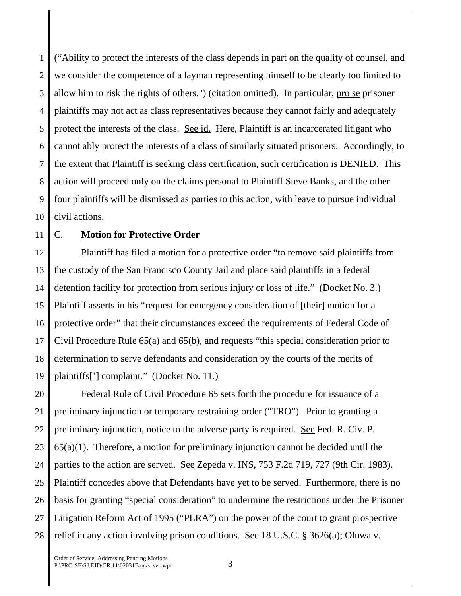1 2 3 4 5 6 7 8 9 10 ("Ability to protect the interests of the class depends in part on the quality of counsel, and we consider the competence of a layman representing himself to be clearly too limited to allow him to risk the rights of others.") (citation omitted). In particular, pro se prisoner plaintiffs may not act as class representatives because they cannot fairly and adequately protect the interests of the class. See id. Here, Plaintiff is an incarcerated litigant who cannot ably protect the interests of a class of similarly situated prisoners. Accordingly, to the extent that Plaintiff is seeking class certification, such certification is DENIED. This action will proceed only on the claims personal to Plaintiff Steve Banks, and the other four plaintiffs will be dismissed as parties to this action, with leave to pursue individual civil actions.

#### 11

# C. **Motion for Protective Order**

12 13 14 15 16 17 18 19 Plaintiff has filed a motion for a protective order "to remove said plaintiffs from the custody of the San Francisco County Jail and place said plaintiffs in a federal detention facility for protection from serious injury or loss of life." (Docket No. 3.) Plaintiff asserts in his "request for emergency consideration of [their] motion for a protective order" that their circumstances exceed the requirements of Federal Code of Civil Procedure Rule 65(a) and 65(b), and requests "this special consideration prior to determination to serve defendants and consideration by the courts of the merits of plaintiffs['] complaint." (Docket No. 11.)

20 21 22 23 24 25 26 27 28 Federal Rule of Civil Procedure 65 sets forth the procedure for issuance of a preliminary injunction or temporary restraining order ("TRO"). Prior to granting a preliminary injunction, notice to the adverse party is required. <u>See</u> Fed. R. Civ. P.  $65(a)(1)$ . Therefore, a motion for preliminary injunction cannot be decided until the parties to the action are served. See Zepeda v. INS, 753 F.2d 719, 727 (9th Cir. 1983). Plaintiff concedes above that Defendants have yet to be served. Furthermore, there is no basis for granting "special consideration" to undermine the restrictions under the Prisoner Litigation Reform Act of 1995 ("PLRA") on the power of the court to grant prospective relief in any action involving prison conditions. See 18 U.S.C. § 3626(a); Oluwa v.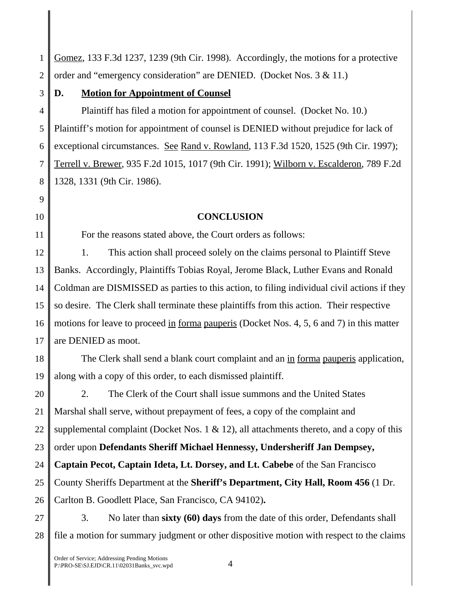1 2 Gomez, 133 F.3d 1237, 1239 (9th Cir. 1998). Accordingly, the motions for a protective order and "emergency consideration" are DENIED. (Docket Nos. 3 & 11.)

3

9

10

11

# **D. Motion for Appointment of Counsel**

4 5 6 7 8 Plaintiff has filed a motion for appointment of counsel. (Docket No. 10.) Plaintiff's motion for appointment of counsel is DENIED without prejudice for lack of exceptional circumstances. See Rand v. Rowland, 113 F.3d 1520, 1525 (9th Cir. 1997); Terrell v. Brewer, 935 F.2d 1015, 1017 (9th Cir. 1991); Wilborn v. Escalderon, 789 F.2d 1328, 1331 (9th Cir. 1986).

### **CONCLUSION**

For the reasons stated above, the Court orders as follows:

12 13 14 15 16 17 1. This action shall proceed solely on the claims personal to Plaintiff Steve Banks. Accordingly, Plaintiffs Tobias Royal, Jerome Black, Luther Evans and Ronald Coldman are DISMISSED as parties to this action, to filing individual civil actions if they so desire. The Clerk shall terminate these plaintiffs from this action. Their respective motions for leave to proceed in forma pauperis (Docket Nos. 4, 5, 6 and 7) in this matter are DENIED as moot.

18 19 The Clerk shall send a blank court complaint and an in forma pauperis application, along with a copy of this order, to each dismissed plaintiff.

20 21 22 23 24 25 26 2. The Clerk of the Court shall issue summons and the United States Marshal shall serve, without prepayment of fees, a copy of the complaint and supplemental complaint (Docket Nos. 1  $\&$  12), all attachments thereto, and a copy of this order upon **Defendants Sheriff Michael Hennessy, Undersheriff Jan Dempsey, Captain Pecot, Captain Ideta, Lt. Dorsey, and Lt. Cabebe** of the San Francisco County Sheriffs Department at the **Sheriff's Department, City Hall, Room 456** (1 Dr. Carlton B. Goodlett Place, San Francisco, CA 94102)**.** 

27 28 3. No later than **sixty (60) days** from the date of this order, Defendants shall file a motion for summary judgment or other dispositive motion with respect to the claims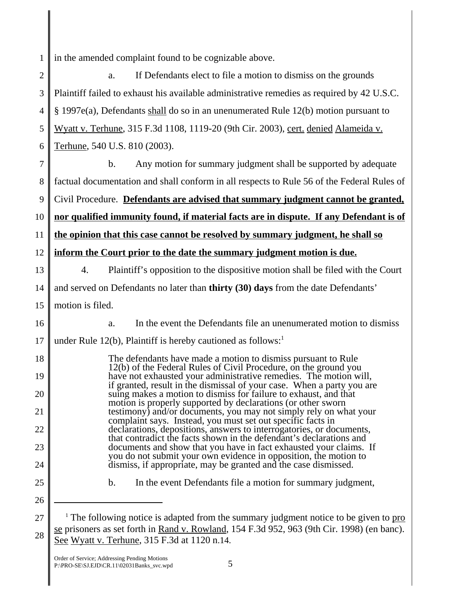1 in the amended complaint found to be cognizable above.

| $\overline{2}$ | If Defendants elect to file a motion to dismiss on the grounds<br>a.                                                                                                                             |
|----------------|--------------------------------------------------------------------------------------------------------------------------------------------------------------------------------------------------|
| 3              | Plaintiff failed to exhaust his available administrative remedies as required by 42 U.S.C.                                                                                                       |
| $\overline{4}$ | $\S$ 1997e(a), Defendants shall do so in an unenumerated Rule 12(b) motion pursuant to                                                                                                           |
| 5              | Wyatt v. Terhune, 315 F.3d 1108, 1119-20 (9th Cir. 2003), cert. denied Alameida v.                                                                                                               |
| 6              | Terhune, 540 U.S. 810 (2003).                                                                                                                                                                    |
| 7              | $\mathbf b$ .<br>Any motion for summary judgment shall be supported by adequate                                                                                                                  |
| 8              | factual documentation and shall conform in all respects to Rule 56 of the Federal Rules of                                                                                                       |
| 9              | Civil Procedure. Defendants are advised that summary judgment cannot be granted,                                                                                                                 |
| 10             | nor qualified immunity found, if material facts are in dispute. If any Defendant is of                                                                                                           |
| 11             | the opinion that this case cannot be resolved by summary judgment, he shall so                                                                                                                   |
| 12             | inform the Court prior to the date the summary judgment motion is due.                                                                                                                           |
| 13             | Plaintiff's opposition to the dispositive motion shall be filed with the Court<br>4.                                                                                                             |
| 14             | and served on Defendants no later than <b>thirty</b> (30) days from the date Defendants'                                                                                                         |
| 15             | motion is filed.                                                                                                                                                                                 |
| 16             | In the event the Defendants file an unenumerated motion to dismiss<br>a.                                                                                                                         |
| 17             | under Rule 12(b), Plaintiff is hereby cautioned as follows:                                                                                                                                      |
| 18             | The defendants have made a motion to dismiss pursuant to Rule<br>12(b) of the Federal Rules of Civil Procedure, on the ground you                                                                |
| 19             | have not exhausted your administrative remedies. The motion will,                                                                                                                                |
| 20             | if granted, result in the dismissal of your case. When a party you are suing makes a motion to dismiss for failure to exhaust, and that                                                          |
| 21             | motion is properly supported by declarations (or other sworn<br>testimony) and/or documents, you may not simply rely on what your<br>complaint says. Instead, you must set out specific facts in |
| 22             | declarations, depositions, answers to interrogatories, or documents,<br>that contradict the facts shown in the defendant's declarations and                                                      |
| 23             | documents and show that you have in fact exhausted your claims. If                                                                                                                               |
| 24             | you do not submit your own evidence in opposition, the motion to<br>dismiss, if appropriate, may be granted and the case dismissed.                                                              |
| 25             | $\mathbf b$ .<br>In the event Defendants file a motion for summary judgment,                                                                                                                     |
| 26             |                                                                                                                                                                                                  |
| 27             | <sup>1</sup> The following notice is adapted from the summary judgment notice to be given to $\underline{pro}$                                                                                   |
| 28             | se prisoners as set forth in Rand v. Rowland, 154 F.3d 952, 963 (9th Cir. 1998) (en banc).                                                                                                       |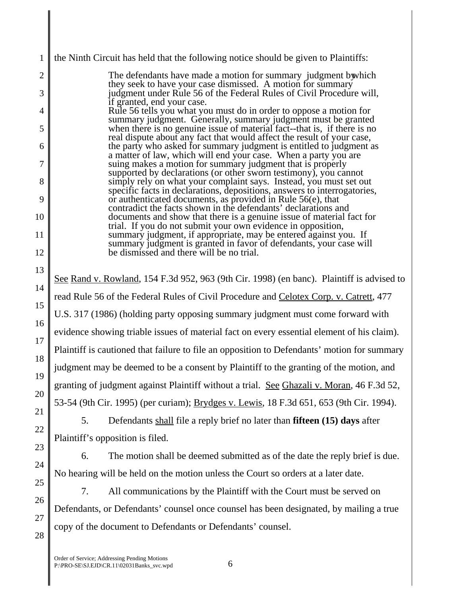2 3 4 5 6 7 8 9 10 11 12 13 14 15 16 17 18 19 20 21 22 23 24 25 26 27 28 Order of Service; Addressing Pending Motions P:\PRO-SE\SJ.EJD\CR.11\02031Banks\_svc.wpd 6 The defendants have made a motion for summary judgment by which they seek to have your case dismissed. A motion for summary judgment under Rule 56 of the Federal Rules of Civil Procedure will, if granted, end your case. Rule 56 tells you what you must do in order to oppose a motion for summary judgment. Generally, summary judgment must be granted when there is no genuine issue of material fact--that is, if there is no real dispute about any fact that would affect the result of your case, the party who asked for summary judgment is entitled to judgment as a matter of law, which will end your case. When a party you are suing makes a motion for summary judgment that is properly supported by declarations (or other sworn testimony), you cannot simply rely on what your complaint says. Instead, you must set out specific facts in declarations, depositions, answers to interrogatories, or authenticated documents, as provided in Rule 56(e), that contradict the facts shown in the defendants' declarations and documents and show that there is a genuine issue of material fact for trial. If you do not submit your own evidence in opposition, summary judgment, if appropriate, may be entered against you. If summary judgment is granted in favor of defendants, your case will be dismissed and there will be no trial. See Rand v. Rowland, 154 F.3d 952, 963 (9th Cir. 1998) (en banc). Plaintiff is advised to read Rule 56 of the Federal Rules of Civil Procedure and Celotex Corp. v. Catrett, 477 U.S. 317 (1986) (holding party opposing summary judgment must come forward with evidence showing triable issues of material fact on every essential element of his claim). Plaintiff is cautioned that failure to file an opposition to Defendants' motion for summary judgment may be deemed to be a consent by Plaintiff to the granting of the motion, and granting of judgment against Plaintiff without a trial. See Ghazali v. Moran, 46 F.3d 52, 53-54 (9th Cir. 1995) (per curiam); Brydges v. Lewis, 18 F.3d 651, 653 (9th Cir. 1994). 5. Defendants shall file a reply brief no later than **fifteen (15) days** after Plaintiff's opposition is filed. 6. The motion shall be deemed submitted as of the date the reply brief is due. No hearing will be held on the motion unless the Court so orders at a later date. 7. All communications by the Plaintiff with the Court must be served on Defendants, or Defendants' counsel once counsel has been designated, by mailing a true copy of the document to Defendants or Defendants' counsel.

the Ninth Circuit has held that the following notice should be given to Plaintiffs:

1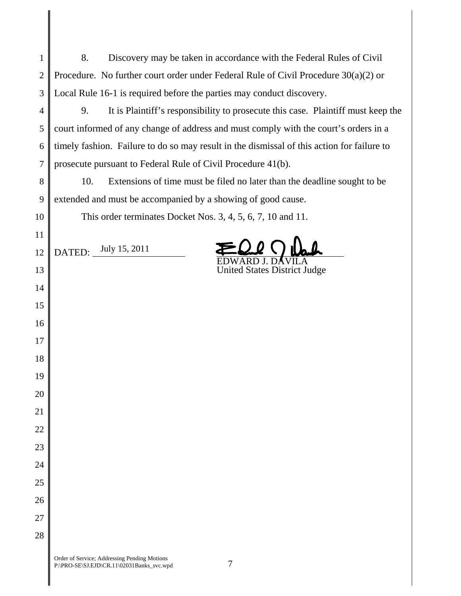| $\mathbf{1}$   | 8.<br>Discovery may be taken in accordance with the Federal Rules of Civil                 |
|----------------|--------------------------------------------------------------------------------------------|
| $\overline{2}$ | Procedure. No further court order under Federal Rule of Civil Procedure $30(a)(2)$ or      |
| 3              | Local Rule 16-1 is required before the parties may conduct discovery.                      |
| $\overline{4}$ | 9.<br>It is Plaintiff's responsibility to prosecute this case. Plaintiff must keep the     |
| 5              | court informed of any change of address and must comply with the court's orders in a       |
| 6              | timely fashion. Failure to do so may result in the dismissal of this action for failure to |
| $\overline{7}$ | prosecute pursuant to Federal Rule of Civil Procedure 41(b).                               |
| 8              | Extensions of time must be filed no later than the deadline sought to be<br>10.            |
| 9              | extended and must be accompanied by a showing of good cause.                               |
| 10             | This order terminates Docket Nos. 3, 4, 5, 6, 7, 10 and 11.                                |
| 11             |                                                                                            |
| 12             | DATED: July 15, 2011                                                                       |
| 13             | <b>United States District Judge</b>                                                        |
| 14             |                                                                                            |
| 15             |                                                                                            |
| 16             |                                                                                            |
| 17             |                                                                                            |
| 18             |                                                                                            |
| 19             |                                                                                            |
| 20             |                                                                                            |
| 21             |                                                                                            |
| 22             |                                                                                            |
| 23             |                                                                                            |
| 24             |                                                                                            |
| 25             |                                                                                            |
| 26             |                                                                                            |
| 27             |                                                                                            |
| 28             |                                                                                            |
|                |                                                                                            |